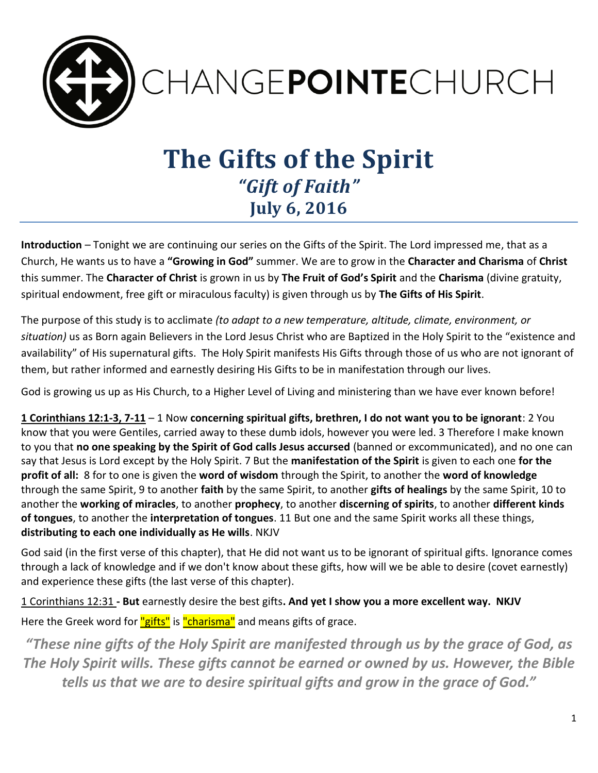

# **The Gifts of the Spirit** *"Gift of Faith"* **July 6, 2016**

**Introduction** – Tonight we are continuing our series on the Gifts of the Spirit. The Lord impressed me, that as a Church, He wants us to have a **"Growing in God"** summer. We are to grow in the **Character and Charisma** of **Christ** this summer. The **Character of Christ** is grown in us by **The Fruit of God's Spirit** and the **Charisma** (divine gratuity, spiritual endowment, free gift or miraculous faculty) is given through us by **The Gifts of His Spirit**.

The purpose of this study is to acclimate *(to adapt to a new temperature, altitude, climate, environment, or situation)* us as Born again Believers in the Lord Jesus Christ who are Baptized in the Holy Spirit to the "existence and availability" of His supernatural gifts. The Holy Spirit manifests His Gifts through those of us who are not ignorant of them, but rather informed and earnestly desiring His Gifts to be in manifestation through our lives.

God is growing us up as His Church, to a Higher Level of Living and ministering than we have ever known before!

**1 Corinthians 12:1-3, 7-11** – 1 Now **concerning spiritual gifts, brethren, I do not want you to be ignorant**: 2 You know that you were Gentiles, carried away to these dumb idols, however you were led. 3 Therefore I make known to you that **no one speaking by the Spirit of God calls Jesus accursed** (banned or excommunicated), and no one can say that Jesus is Lord except by the Holy Spirit. 7 But the **manifestation of the Spirit** is given to each one **for the profit of all:** 8 for to one is given the **word of wisdom** through the Spirit, to another the **word of knowledge** through the same Spirit, 9 to another **faith** by the same Spirit, to another **gifts of healings** by the same Spirit, 10 to another the **working of miracles**, to another **prophecy**, to another **discerning of spirits**, to another **different kinds of tongues**, to another the **interpretation of tongues**. 11 But one and the same Spirit works all these things, **distributing to each one individually as He wills**. NKJV

God said (in the first verse of this chapter), that He did not want us to be ignorant of spiritual gifts. Ignorance comes through a lack of knowledge and if we don't know about these gifts, how will we be able to desire (covet earnestly) and experience these gifts (the last verse of this chapter).

1 Corinthians 12:31 **- But** earnestly desire the best gifts**. And yet I show you a more excellent way. NKJV** Here the Greek word for "gifts" is "charisma" and means gifts of grace.

*"These nine gifts of the Holy Spirit are manifested through us by the grace of God, as The Holy Spirit wills. These gifts cannot be earned or owned by us. However, the Bible tells us that we are to desire spiritual gifts and grow in the grace of God."*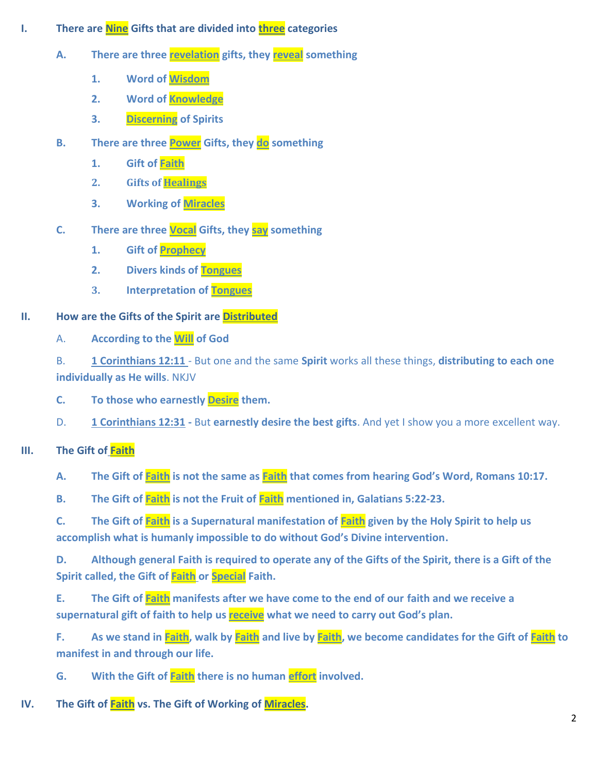- **I. There are Nine Gifts that are divided into three categories** 
	- **A. There are three revelation gifts, they reveal something**
		- **1. Word of Wisdom**
		- **2. Word of Knowledge**
		- **3. Discerning of Spirits**
	- **B. There are three Power Gifts, they do something** 
		- **1. Gift of Faith**
		- **2. Gifts of Healings**
		- **3. Working of Miracles**
	- **C. There are three Vocal Gifts, they say something**
		- **1. Gift of Prophecy**
		- **2. Divers kinds of Tongues**
		- **3. Interpretation of Tongues**

## **II. How are the Gifts of the Spirit are Distributed**

- A. **According to the Will of God**
- B. **1 Corinthians 12:11**  But one and the same **Spirit** works all these things, **distributing to each one individually as He wills**. NKJV
- **C. To those who earnestly Desire them.**
- D. **1 Corinthians 12:31 -** But **earnestly desire the best gifts**. And yet I show you a more excellent way.

# **III. The Gift of Faith**

**A. The Gift of Faith is not the same as Faith that comes from hearing God's Word, Romans 10:17.** 

**B. The Gift of Faith is not the Fruit of Faith mentioned in, Galatians 5:22-23.**

**C. The Gift of Faith is a Supernatural manifestation of Faith given by the Holy Spirit to help us accomplish what is humanly impossible to do without God's Divine intervention.** 

**D. Although general Faith is required to operate any of the Gifts of the Spirit, there is a Gift of the Spirit called, the Gift of Faith or Special Faith.**

**E. The Gift of Faith manifests after we have come to the end of our faith and we receive a supernatural gift of faith to help us receive what we need to carry out God's plan.**

**F. As we stand in Faith, walk by Faith and live by Faith, we become candidates for the Gift of Faith to manifest in and through our life.** 

**G. With the Gift of Faith there is no human effort involved.**

### **IV. The Gift of Faith vs. The Gift of Working of Miracles.**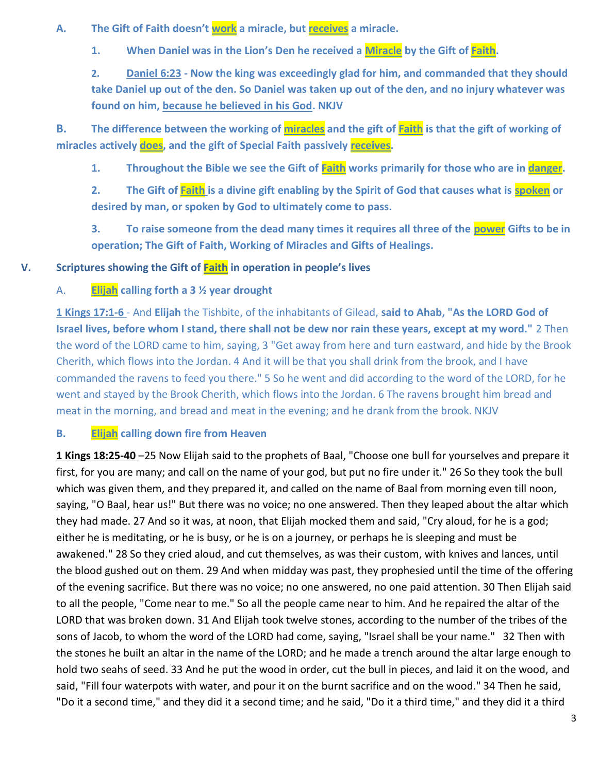**A. The Gift of Faith doesn't work a miracle, but receives a miracle.** 

**1. When Daniel was in the Lion's Den he received a Miracle by the Gift of Faith.** 

**2. Daniel 6:23 - Now the king was exceedingly glad for him, and commanded that they should take Daniel up out of the den. So Daniel was taken up out of the den, and no injury whatever was found on him, because he believed in his God. NKJV**

**B. The difference between the working of miracles and the gift of Faith is that the gift of working of miracles actively does, and the gift of Special Faith passively receives.**

1. **Throughout the Bible we see the Gift of <b>Faith** works primarily for those who are in **danger**.

**2. The Gift of Faith is a divine gift enabling by the Spirit of God that causes what is spoken or desired by man, or spoken by God to ultimately come to pass.** 

**3. To raise someone from the dead many times it requires all three of the power Gifts to be in operation; The Gift of Faith, Working of Miracles and Gifts of Healings.** 

#### **V. Scriptures showing the Gift of Faith in operation in people's lives**

#### A. **Elijah calling forth a 3 ½ year drought**

**1 Kings 17:1-6** - And **Elijah** the Tishbite, of the inhabitants of Gilead, **said to Ahab, "As the LORD God of Israel lives, before whom I stand, there shall not be dew nor rain these years, except at my word."** 2 Then the word of the LORD came to him, saying, 3 "Get away from here and turn eastward, and hide by the Brook Cherith, which flows into the Jordan. 4 And it will be that you shall drink from the brook, and I have commanded the ravens to feed you there." 5 So he went and did according to the word of the LORD, for he went and stayed by the Brook Cherith, which flows into the Jordan. 6 The ravens brought him bread and meat in the morning, and bread and meat in the evening; and he drank from the brook. NKJV

#### **B. Elijah calling down fire from Heaven**

**1 Kings 18:25-40** –25 Now Elijah said to the prophets of Baal, "Choose one bull for yourselves and prepare it first, for you are many; and call on the name of your god, but put no fire under it." 26 So they took the bull which was given them, and they prepared it, and called on the name of Baal from morning even till noon, saying, "O Baal, hear us!" But there was no voice; no one answered. Then they leaped about the altar which they had made. 27 And so it was, at noon, that Elijah mocked them and said, "Cry aloud, for he is a god; either he is meditating, or he is busy, or he is on a journey, or perhaps he is sleeping and must be awakened." 28 So they cried aloud, and cut themselves, as was their custom, with knives and lances, until the blood gushed out on them. 29 And when midday was past, they prophesied until the time of the offering of the evening sacrifice. But there was no voice; no one answered, no one paid attention. 30 Then Elijah said to all the people, "Come near to me." So all the people came near to him. And he repaired the altar of the LORD that was broken down. 31 And Elijah took twelve stones, according to the number of the tribes of the sons of Jacob, to whom the word of the LORD had come, saying, "Israel shall be your name." 32 Then with the stones he built an altar in the name of the LORD; and he made a trench around the altar large enough to hold two seahs of seed. 33 And he put the wood in order, cut the bull in pieces, and laid it on the wood, and said, "Fill four waterpots with water, and pour it on the burnt sacrifice and on the wood." 34 Then he said, "Do it a second time," and they did it a second time; and he said, "Do it a third time," and they did it a third